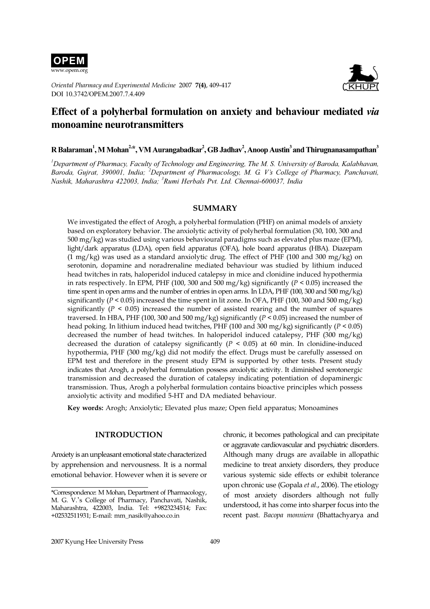

Oriental Pharmacy and Experimental Medicine 2007 7(4), 409-417 DOI 10.3742/OPEM.2007.7.4.409



# Effect of a polyherbal formulation on anxiety and behaviour mediated via monoamine neurotransmitters

 ${\bf R}$  Balaraman $^1,$  M Mohan $^{2,\ast},$  VM Aurangabadkar $^2, {\bf GB}$  Jadhav $^2,$  Anoop Austin $^3$ and Thirugnanasampathan $^3$ 

 $^{\textit{l}}$ Department of Pharmacy, Faculty of Technology and Engineering, The M. S. University of Baroda, Kalabhavan, Baroda, Gujrat, 390001, India; <sup>2</sup>Department of Pharmacology, M. G. V's College of Pharmacy, Panchavati, Nashik, Maharashtra 422003, India; <sup>3</sup>Rumi Herbals Pvt. Ltd. Chennai-600037, India

#### SUMMARY

We investigated the effect of Arogh, a polyherbal formulation (PHF) on animal models of anxiety based on exploratory behavior. The anxiolytic activity of polyherbal formulation (30, 100, 300 and 500 mg/kg) was studied using various behavioural paradigms such as elevated plus maze (EPM), light/dark apparatus (LDA), open field apparatus (OFA), hole board apparatus (HBA). Diazepam (1 mg/kg) was used as a standard anxiolytic drug. The effect of PHF (100 and 300 mg/kg) on serotonin, dopamine and noradrenaline mediated behaviour was studied by lithium induced head twitches in rats, haloperidol induced catalepsy in mice and clonidine induced hypothermia in rats respectively. In EPM, PHF (100, 300 and 500 mg/kg) significantly ( $P < 0.05$ ) increased the time spent in open arms and the number of entries in open arms. In LDA, PHF (100, 300 and 500 mg/kg) significantly ( $P < 0.05$ ) increased the time spent in lit zone. In OFA, PHF (100, 300 and 500 mg/kg) significantly ( $P < 0.05$ ) increased the number of assisted rearing and the number of squares traversed. In HBA, PHF (100, 300 and 500 mg/kg) significantly ( $P < 0.05$ ) increased the number of head poking. In lithium induced head twitches, PHF (100 and 300 mg/kg) significantly ( $P < 0.05$ ) decreased the number of head twitches. In haloperidol induced catalepsy, PHF (300 mg/kg) decreased the duration of catalepsy significantly ( $P < 0.05$ ) at 60 min. In clonidine-induced hypothermia, PHF (300 mg/kg) did not modify the effect. Drugs must be carefully assessed on EPM test and therefore in the present study EPM is supported by other tests. Present study indicates that Arogh, a polyherbal formulation possess anxiolytic activity. It diminished serotonergic transmission and decreased the duration of catalepsy indicating potentiation of dopaminergic transmission. Thus, Arogh a polyherbal formulation contains bioactive principles which possess anxiolytic activity and modified 5-HT and DA mediated behaviour.

Key words: Arogh; Anxiolytic; Elevated plus maze; Open field apparatus; Monoamines

### INTRODUCTION

Anxiety is an unpleasant emotional state characterized by apprehension and nervousness. It is a normal emotional behavior. However when it is severe or

chronic, it becomes pathological and can precipitate or aggravate cardiovascular and psychiatric disorders. Although many drugs are available in allopathic medicine to treat anxiety disorders, they produce various systemic side effects or exhibit tolerance upon chronic use (Gopala et al., 2006). The etiology of most anxiety disorders although not fully understood, it has come into sharper focus into the recent past. Bacopa monniera (Bhattachyarya and

<sup>\*</sup>Correspondence: M Mohan, Department of Pharmacology, M. G. V.'s College of Pharmacy, Panchavati, Nashik, Maharashtra, 422003, India. Tel: +9823234514; Fax: +02532511931; E-mail: mm\_nasik@yahoo.co.in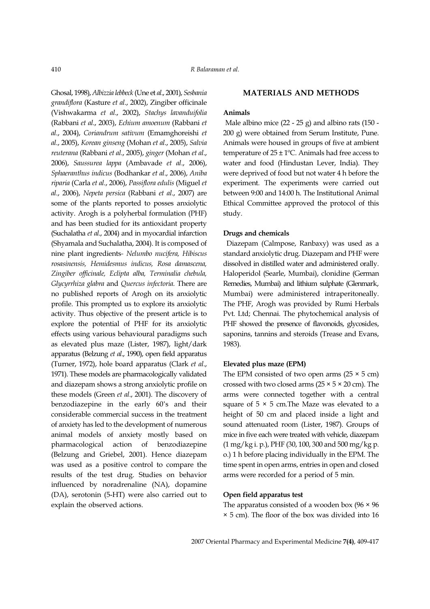Ghosal, 1998), Albizzia lebbeck (Une et al., 2001), Sesbania grandiflora (Kasture et al., 2002), Zingiber officinale (Vishwakarma et al., 2002), Stachys lavanduifolia (Rabbani et al., 2003), Echium amoenum (Rabbani et al., 2004), Coriandrum sativum (Emamghoreishi et al., 2005), Korean ginseng (Mohan et al., 2005), Salvia reuterana (Rabbani et al., 2005), ginger (Mohan et al., 2006), Saussurea lappa (Ambavade et al., 2006), Sphaeranthus indicus (Bodhankar et al., 2006), Aniba riparia (Carla et al., 2006), Passiflora edulis (Miguel et al., 2006), Nepeta persica (Rabbani et al., 2007) are some of the plants reported to posses anxiolytic activity. Arogh is a polyherbal formulation (PHF) and has been studied for its antioxidant property (Suchalatha et al., 2004) and in myocardial infarction (Shyamala and Suchalatha, 2004). It is composed of nine plant ingredients- Nelumbo nucifera, Hibiscus rosasinensis, Hemidesmus indicus, Rosa damascena, Zingiber officinale, Eclipta alba, Terminalia chebula, Glycyrrhiza glabra and Quercus infectoria. There are no published reports of Arogh on its anxiolytic profile. This prompted us to explore its anxiolytic activity. Thus objective of the present article is to explore the potential of PHF for its anxiolytic effects using various behavioural paradigms such as elevated plus maze (Lister, 1987), light/dark apparatus (Belzung et al., 1990), open field apparatus (Turner, 1972), hole board apparatus (Clark et al., 1971). These models are pharmacologically validated and diazepam shows a strong anxiolytic profile on these models (Green *et al.*, 2001). The discovery of benzodiazepine in the early 60's and their considerable commercial success in the treatment of anxiety has led to the development of numerous animal models of anxiety mostly based on pharmacological action of benzodiazepine (Belzung and Griebel, 2001). Hence diazepam was used as a positive control to compare the results of the test drug. Studies on behavior influenced by noradrenaline (NA), dopamine (DA), serotonin (5-HT) were also carried out to explain the observed actions.

# MATERIALS AND METHODS

# Animals

 Male albino mice (22 - 25 g) and albino rats (150 - 200 g) were obtained from Serum Institute, Pune. Animals were housed in groups of five at ambient temperature of  $25 \pm 1$ <sup>o</sup>C. Animals had free access to water and food (Hindustan Lever, India). They were deprived of food but not water 4 h before the experiment. The experiments were carried out between 9:00 and 14:00 h. The Institutional Animal Ethical Committee approved the protocol of this study.

# Drugs and chemicals

 Diazepam (Calmpose, Ranbaxy) was used as a standard anxiolytic drug. Diazepam and PHF were dissolved in distilled water and administered orally. Haloperidol (Searle, Mumbai), clonidine (German Remedies, Mumbai) and lithium sulphate (Glenmark, Mumbai) were administered intraperitoneally. The PHF, Arogh was provided by Rumi Herbals Pvt. Ltd; Chennai. The phytochemical analysis of PHF showed the presence of flavonoids, glycosides, saponins, tannins and steroids (Trease and Evans, 1983).

#### Elevated plus maze (EPM)

The EPM consisted of two open arms  $(25 \times 5 \text{ cm})$ crossed with two closed arms  $(25 \times 5 \times 20 \text{ cm})$ . The arms were connected together with a central square of  $5 \times 5$  cm. The Maze was elevated to a height of 50 cm and placed inside a light and sound attenuated room (Lister, 1987). Groups of mice in five each were treated with vehicle, diazepam (1 mg/kg i. p.), PHF (30, 100, 300 and 500 mg/kg p. o.) 1 h before placing individually in the EPM. The time spent in open arms, entries in open and closed arms were recorded for a period of 5 min.

# Open field apparatus test

The apparatus consisted of a wooden box  $(96 \times 96)$ × 5 cm). The floor of the box was divided into 16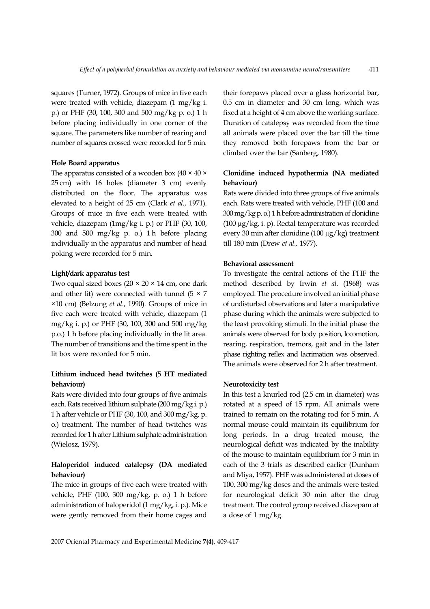squares (Turner, 1972). Groups of mice in five each were treated with vehicle, diazepam (1 mg/kg i. p.) or PHF (30, 100, 300 and 500 mg/kg p. o.) 1 h before placing individually in one corner of the square. The parameters like number of rearing and number of squares crossed were recorded for 5 min.

### Hole Board apparatus

The apparatus consisted of a wooden box  $(40 \times 40 \times$ 25 cm) with 16 holes (diameter 3 cm) evenly distributed on the floor. The apparatus was elevated to a height of 25 cm (Clark et al., 1971). Groups of mice in five each were treated with vehicle, diazepam (1mg/kg i. p.) or PHF (30, 100, 300 and 500 mg/kg p. o.) 1 h before placing individually in the apparatus and number of head poking were recorded for 5 min.

# Light/dark apparatus test

Two equal sized boxes  $(20 \times 20 \times 14 \text{ cm})$ , one dark and other lit) were connected with tunnel ( $5 \times 7$ ×10 cm) (Belzung et al., 1990). Groups of mice in five each were treated with vehicle, diazepam (1 mg/kg i. p.) or PHF (30, 100, 300 and 500 mg/kg p.o.) 1 h before placing individually in the lit area. The number of transitions and the time spent in the lit box were recorded for 5 min.

# Lithium induced head twitches (5 HT mediated behaviour)

Rats were divided into four groups of five animals each. Rats received lithium sulphate (200 mg/kg i. p.) 1 h after vehicle or PHF (30, 100, and 300 mg/kg, p. o.) treatment. The number of head twitches was recorded for 1 h after Lithium sulphate administration (Wielosz, 1979).

# Haloperidol induced catalepsy (DA mediated behaviour)

The mice in groups of five each were treated with vehicle, PHF (100, 300 mg/kg, p. o.) 1 h before administration of haloperidol (1 mg/kg, i. p.). Mice were gently removed from their home cages and

their forepaws placed over a glass horizontal bar, 0.5 cm in diameter and 30 cm long, which was fixed at a height of 4 cm above the working surface. Duration of catalepsy was recorded from the time all animals were placed over the bar till the time they removed both forepaws from the bar or climbed over the bar (Sanberg, 1980).

# Clonidine induced hypothermia (NA mediated behaviour)

Rats were divided into three groups of five animals each. Rats were treated with vehicle, PHF (100 and 300 mg/kg p. o.) 1 h before administration of clonidine (100 µg/kg, i. p). Rectal temperature was recorded every 30 min after clonidine (100 µg/kg) treatment till 180 min (Drew et al., 1977).

### Behavioral assessment

To investigate the central actions of the PHF the method described by Irwin et al. (1968) was employed. The procedure involved an initial phase of undisturbed observations and later a manipulative phase during which the animals were subjected to the least provoking stimuli. In the initial phase the animals were observed for body position, locomotion, rearing, respiration, tremors, gait and in the later phase righting reflex and lacrimation was observed. The animals were observed for 2 h after treatment.

# Neurotoxicity test

In this test a knurled rod (2.5 cm in diameter) was rotated at a speed of 15 rpm. All animals were trained to remain on the rotating rod for 5 min. A normal mouse could maintain its equilibrium for long periods. In a drug treated mouse, the neurological deficit was indicated by the inability of the mouse to maintain equilibrium for 3 min in each of the 3 trials as described earlier (Dunham and Miya, 1957). PHF was administered at doses of 100, 300 mg/kg doses and the animals were tested for neurological deficit 30 min after the drug treatment. The control group received diazepam at a dose of 1 mg/kg.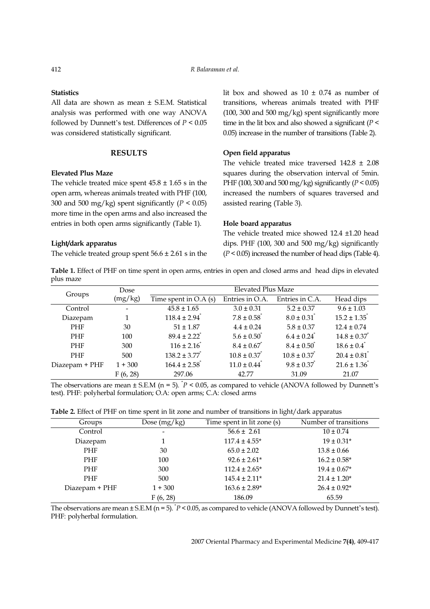# **Statistics**

# RESULTS

# Elevated Plus Maze

# Light/dark apparatus

### Open field apparatus

### Hole board apparatus

| 412<br><b>Statistics</b> | was considered statistically significant.                                                                                   | <b>RESULTS</b>                                                                                                  | All data are shown as mean ± S.E.M. Statistical<br>analysis was performed with one way ANOVA<br>followed by Dunnett's test. Differences of $P\leq 0.05$                                                                                                                                                                                     | R Balaraman et al.                                                                                                                                                                                                                                                                                                                                                                                                                     | lit box and showed as $10 \pm 0.74$ as number of<br>transitions, whereas animals treated with PHF<br>(100, 300 and 500 mg/kg) spent significantly more<br>time in the lit box and also showed a significant ( $P$ <<br>0.05) increase in the number of transitions (Table 2).                                                                                                            |                                                                                                                                                                                     |
|--------------------------|-----------------------------------------------------------------------------------------------------------------------------|-----------------------------------------------------------------------------------------------------------------|---------------------------------------------------------------------------------------------------------------------------------------------------------------------------------------------------------------------------------------------------------------------------------------------------------------------------------------------|----------------------------------------------------------------------------------------------------------------------------------------------------------------------------------------------------------------------------------------------------------------------------------------------------------------------------------------------------------------------------------------------------------------------------------------|------------------------------------------------------------------------------------------------------------------------------------------------------------------------------------------------------------------------------------------------------------------------------------------------------------------------------------------------------------------------------------------|-------------------------------------------------------------------------------------------------------------------------------------------------------------------------------------|
|                          | <b>Elevated Plus Maze</b><br>Light/dark apparatus                                                                           |                                                                                                                 | The vehicle treated mice spent $45.8 \pm 1.65$ s in the<br>open arm, whereas animals treated with PHF (100,<br>300 and 500 mg/kg) spent significantly ( $P < 0.05$ )<br>more time in the open arms and also increased the<br>entries in both open arms significantly (Table 1).<br>The vehicle treated group spent $56.6 \pm 2.61$ s in the | Open field apparatus<br>assisted rearing (Table 3).<br>Hole board apparatus                                                                                                                                                                                                                                                                                                                                                            | The vehicle treated mice traversed $142.8 \pm 2.08$<br>squares during the observation interval of 5min<br>PHF (100, 300 and 500 mg/kg) significantly ( $P < 0.05$ )<br>increased the numbers of squares traversed and<br>The vehicle treated mice showed 12.4 ±1.20 head<br>dips. PHF (100, 300 and 500 mg/kg) significantly<br>$(P < 0.05)$ increased the number of head dips (Table 4) |                                                                                                                                                                                     |
| plus maze                | Groups<br>Control<br>Diazepam<br>PHF<br>PHF<br>PHF<br>PHF<br>Diazepam + PHF                                                 | Dose<br>(mg/kg)<br>$\qquad \qquad \blacksquare$<br>$\mathbf{1}$<br>$30\,$<br>100<br>300<br>$500\,$<br>$1 + 300$ | Time spent in O.A (s)<br>$45.8 \pm 1.65$<br>$118.4 \pm 2.94$ <sup>*</sup><br>$51 \pm 1.87$<br>$89.4 \pm 2.22$ <sup>*</sup><br>$116 \pm 2.16$<br>$138.2\pm3.77^{^{\circ}}$<br>$164.4 \pm 2.58$ <sup>*</sup>                                                                                                                                  | Table 1. Effect of PHF on time spent in open arms, entries in open and closed arms and head dips in elevated<br><b>Elevated Plus Maze</b><br>Entries in O.A.<br>$3.0 \pm 0.31$<br>$7.8 \pm 0.58$ <sup>*</sup><br>$4.4\pm0.24$<br>$5.6 \pm 0.50^{\degree}$<br>$8.4\pm0.67^{^*}$<br>$10.8\pm0.37^{^{\ast}}$<br>$11.0 \pm 0.44$ <sup>*</sup>                                                                                              | Entries in C.A.<br>$5.2 \pm 0.37$<br>$8.0 \pm 0.31$ <sup>*</sup><br>$5.8\pm0.37$<br>$6.4 \pm 0.24$<br>$8.4 \pm 0.50^{\degree}$<br>$10.8\pm0.37^{^{\ast}}$<br>$9.8 \pm 0.37$                                                                                                                                                                                                              | Head dips<br>$9.6 \pm 1.03$<br>$15.2 \pm 1.35$ <sup>*</sup><br>$12.4 \pm 0.74$<br>$14.8 \pm 0.37$<br>$18.6 \pm 0.4$ <sup>*</sup><br>$20.4 \pm 0.81$ <sup>*</sup><br>$21.6 \pm 1.36$ |
|                          | Groups<br>Control<br>Diazepam<br>PHF<br>$\ensuremath{\mathrm{PHF}}$<br>$\ensuremath{\mathrm{PHF}}$<br>PHF<br>Diazepam + PHF | F(6, 28)                                                                                                        | 297.06<br>test). PHF: polyherbal formulation; O.A: open arms; C.A: closed arms<br>Dose (mg/kg)<br>$\mathbf 1$<br>$30\,$<br>100<br>300<br>$500\,$<br>$1 + 300$                                                                                                                                                                               | 42.77<br>The observations are mean $\pm$ S.E.M (n = 5). $^{\circ}P$ < 0.05, as compared to vehicle (ANOVA followed by Dunnett's<br>Table 2. Effect of PHF on time spent in lit zone and number of transitions in light/dark apparatus<br>Time spent in lit zone (s)<br>$56.6 \pm 2.61$<br>$117.4 \pm 4.55^{\star}$<br>$65.0 \pm 2.02$<br>$92.6\pm2.61^*$<br>$112.4\pm2.65^{\star}$<br>$145.4\pm2.11^{\star}$<br>$163.6\pm2.89^{\star}$ | 31.09                                                                                                                                                                                                                                                                                                                                                                                    | 21.07<br>Number of transitions<br>$10\pm0.74$<br>$19\pm0.31^*$<br>$13.8\pm0.66$<br>$16.2\pm0.58^*$<br>$19.4\pm0.67^*$<br>$21.4 \pm 1.20^{\star}$<br>$26.4\pm0.92^{\star}$<br>65.59  |

| Groups         | Dose $(mg/kg)$               | Time spent in lit zone (s) | Number of transitions |
|----------------|------------------------------|----------------------------|-----------------------|
| Control        | $\qquad \qquad \blacksquare$ | $56.6 \pm 2.61$            | $10 \pm 0.74$         |
| Diazepam       |                              | $117.4 \pm 4.55^*$         | $19 \pm 0.31*$        |
| PHF            | 30                           | $65.0 \pm 2.02$            | $13.8 \pm 0.66$       |
| PHF            | 100                          | $92.6 \pm 2.61*$           | $16.2 \pm 0.58*$      |
| PHF            | 300                          | $112.4 \pm 2.65*$          | $19.4 \pm 0.67*$      |
| <b>PHF</b>     | 500                          | $145.4 \pm 2.11*$          | $21.4 \pm 1.20*$      |
| Diazepam + PHF | $1 + 300$                    | $163.6 \pm 2.89*$          | $26.4 \pm 0.92^*$     |
|                | F(6, 28)                     | 186.09                     | 65.59                 |

The observations are mean  $\pm$  S.E.M (n = 5).  $P$  < 0.05, as compared to vehicle (ANOVA followed by Dunnett's test). PHF: polyherbal formulation.

2007 Oriental Pharmacy and Experimental Medicine 7(4), 409-417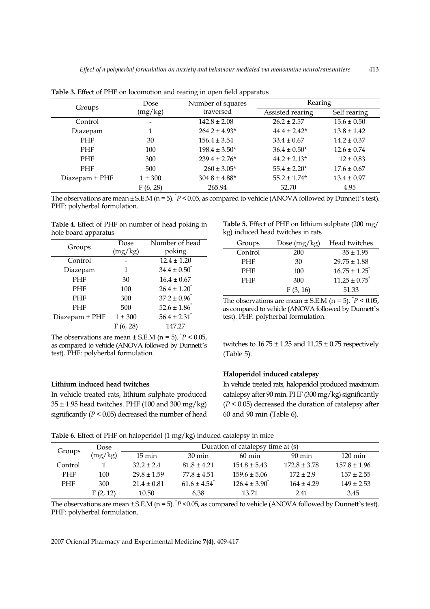|                                                                                               | Effect of a polyherbal formulation on anxiety and behaviour mediated via monoamine neurotransmitters                                                                                                                                                            |                                                                                                                                             |                                                                                     |                                                                                                                                                                                                                                                        | 413                                                                                                                          |
|-----------------------------------------------------------------------------------------------|-----------------------------------------------------------------------------------------------------------------------------------------------------------------------------------------------------------------------------------------------------------------|---------------------------------------------------------------------------------------------------------------------------------------------|-------------------------------------------------------------------------------------|--------------------------------------------------------------------------------------------------------------------------------------------------------------------------------------------------------------------------------------------------------|------------------------------------------------------------------------------------------------------------------------------|
| Groups<br>Control<br>Diazepam<br>PHF<br>PHF<br>PHF<br>PHF                                     | Table 3. Effect of PHF on locomotion and rearing in open field apparatus<br>Dose<br>(mg/kg)<br>$\overline{\phantom{a}}$<br>$\mathbf 1$<br>$30\,$<br>100<br>$300\,$<br>$500\,$                                                                                   | Number of squares<br>traversed<br>$142.8 \pm 2.08$<br>$264.2 \pm 4.93*$<br>$156.4 \pm 3.54$<br>$198.4 \pm 3.50*$<br>$239.4 \pm 2.76*$       | $260\pm3.05^*$                                                                      | Rearing<br>Assisted rearing<br>$26.2 \pm 2.57$<br>$44.4 \pm 2.42^{\star}$<br>$33.4 \pm 0.67$<br>$36.4\pm0.50^*$<br>$44.2 \pm 2.13*$<br>$55.4 \pm 2.20^{\star}$                                                                                         | Self rearing<br>$15.6 \pm 0.50$<br>$13.8 \pm 1.42$<br>$14.2 \pm 0.37$<br>$12.6 \pm 0.74$<br>$12 \pm 0.83$<br>$17.6 \pm 0.67$ |
| Diazepam + PHF<br>PHF: polyherbal formulation.<br>hole board apparatus<br>Groups<br>Control   | $1 + 300$<br>F(6, 28)<br>The observations are mean $\pm$ S.E.M (n = 5). $\check{P}$ < 0.05, as compared to vehicle (ANOVA followed by Dunnett's test).<br>Table 4. Effect of PHF on number of head poking in<br>Dose<br>(mg/kg)<br>$\qquad \qquad \blacksquare$ | $304.8\pm4.88^{\ast}$<br>265.94<br>Number of head<br>poking<br>$12.4 \pm 1.20$                                                              | Groups<br>Control<br>PHF                                                            | $55.2 \pm 1.74^*$<br>32.70<br>Table 5. Effect of PHF on lithium sulphate (200 mg/<br>kg) induced head twitches in rats<br>Dose (mg/kg)<br>200<br>$30\,$                                                                                                | $13.4\pm0.97$<br>4.95<br>Head twitches<br>$35 \pm 1.95$<br>$29.75 \pm 1.88$                                                  |
| Diazepam<br>PHF<br>PHF<br>PHF<br>PHF<br>Diazepam + PHF<br>test). PHF: polyherbal formulation. | $\mathbf 1$<br>$30\,$<br>$100\,$<br>300<br>500<br>$1\pm300$<br>F(6, 28)<br>The observations are mean $\pm$ S.E.M (n = 5). $\degree{P}$ < 0.05,<br>as compared to vehicle (ANOVA followed by Dunnett's                                                           | $34.4 \pm 0.50^{\circ}$<br>$16.4\pm0.67$<br>$26.4 \pm 1.20$<br>$37.2 \pm 0.96$<br>$52.6 \pm 1.86$<br>$56.4 \pm 2.31$ <sup>*</sup><br>147.27 | $\rm PHF$<br>PHF<br>(Table 5).                                                      | $100\,$<br>300<br>F(3, 16)<br>The observations are mean $\pm$ S.E.M (n = 5). $P < 0.05$ , as compared to vehicle (ANOVA followed by Dunnett's<br>test). PHF: polyherbal formulation.<br>twitches to $16.75 \pm 1.25$ and $11.25 \pm 0.75$ respectively | $16.75 \pm 1.25$<br>$11.25 \pm 0.75$ <sup>*</sup><br>51.33                                                                   |
| Lithium induced head twitches<br>Dose                                                         | In vehicle treated rats, lithium sulphate produced<br>$35 \pm 1.95$ head twitches. PHF (100 and 300 mg/kg)<br>significantly ( $P < 0.05$ ) decreased the number of head<br>Table 6. Effect of PHF on haloperidol (1 mg/kg) induced catalepsy in mice            |                                                                                                                                             | 60 and 90 min (Table 6).<br>Duration of catalepsy time at (s)                       | Haloperidol induced catalepsy<br>In vehicle treated rats, haloperidol produced maximum<br>catalepsy after 90 min. PHF (300 mg/kg) significantly<br>$(P < 0.05)$ decreased the duration of catalepsy after                                              |                                                                                                                              |
| Groups<br>(mg/kg)<br>$\overline{1}$<br>Control<br>PHF<br>$100\,$<br>300<br>PHF<br>F(2, 12)    | $15 \text{ min}$<br>$32.2 \pm 2.4$<br>$29.8 \pm 1.59$<br>$21.4 \pm 0.81$<br>10.50<br>The observations are mean $\pm$ S.E.M (n = 5). $^{\circ}P$ <0.05, as compared to vehicle (ANOVA followed by Dunnett's test).                                               | 30 min<br>$81.8 \pm 4.21$<br>$77.8 \pm 4.51$<br>$61.6 \pm 4.54$ <sup>*</sup><br>6.38                                                        | $60 \text{ min}$<br>$154.8 \pm 5.43$<br>$159.6\pm5.06$<br>$126.4 \pm 3.90$<br>13.71 | $90 \text{ min}$<br>$172.8 \pm 3.78$<br>$172 \pm 2.9$<br>$164 \pm 4.29$<br>2.41                                                                                                                                                                        | $120 \text{ min}$<br>$157.8 \pm 1.96$<br>$157 \pm 2.55$<br>$149 \pm 2.53$<br>3.45                                            |

Table 3. Effect of PHF on locomotion and rearing in open field apparatus

| Groups         | Dose      | Number of head          |
|----------------|-----------|-------------------------|
|                | (mg/kg)   | poking                  |
| Control        |           | $12.4 \pm 1.20$         |
| Diazepam       | 1         | $34.4 \pm 0.50^{\circ}$ |
| <b>PHF</b>     | 30        | $16.4 \pm 0.67$         |
| <b>PHF</b>     | 100       | $26.4 \pm 1.20$         |
| <b>PHF</b>     | 300       | $37.2 \pm 0.96$         |
| PHF            | 500       | $52.6 \pm 1.86$         |
| Diazepam + PHF | $1 + 300$ | $56.4 \pm 2.31$         |
|                | F(6, 28)  | 147.27                  |

### Lithium induced head twitches

Table 5. Effect of PHF on lithium sulphate (200 mg/ kg) induced head twitches in rats

| Groups     | Dose $(mg/kg)$ | Head twitches    |
|------------|----------------|------------------|
| Control    | 200            | $35 \pm 1.95$    |
| <b>PHF</b> | 30             | $29.75 \pm 1.88$ |
| <b>PHF</b> | 100            | $16.75 \pm 1.25$ |
| <b>PHF</b> | 300            | $11.25 \pm 0.75$ |
|            | F(3, 16)       | 51.33            |

### Haloperidol induced catalepsy

Table 6. Effect of PHF on haloperidol (1 mg/kg) induced catalepsy in mice

| Groups     | Dose     | Duration of catalepsy time at (s) |                  |                            |                  |                   |  |
|------------|----------|-----------------------------------|------------------|----------------------------|------------------|-------------------|--|
|            | (mg/kg)  | $15 \text{ min}$                  | $30 \text{ min}$ | $60 \text{ min}$           | $90 \text{ min}$ | $120 \text{ min}$ |  |
| Control    |          | $32.2 + 2.4$                      | $81.8 + 4.21$    | $154.8 \pm 5.43$           | $172.8 \pm 3.78$ | $157.8 \pm 1.96$  |  |
| <b>PHF</b> | 100      | $29.8 \pm 1.59$                   | $77.8 \pm 4.51$  | $159.6 \pm 5.06$           | $172 \pm 2.9$    | $157 \pm 2.55$    |  |
| <b>PHF</b> | 300      | $21.4 \pm 0.81$                   | $61.6 + 4.54$    | $126.4 \pm 3.90^{\degree}$ | $164 \pm 4.29$   | $149 \pm 2.53$    |  |
|            | F(2, 12) | 10.50                             | 6.38             | 13.71                      | 2.41             | 3.45              |  |

The observations are mean  $\pm$  S.E.M (n = 5).  $P$  <0.05, as compared to vehicle (ANOVA followed by Dunnett's test). PHF: polyherbal formulation.

2007 Oriental Pharmacy and Experimental Medicine 7(4), 409-417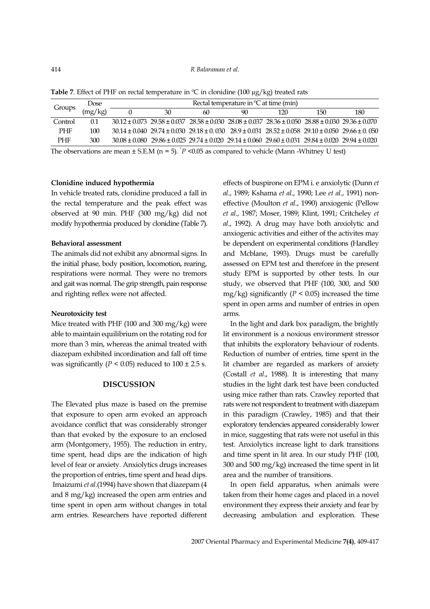| $414\,$<br>Groups                                                     | $\operatorname{Dose}$<br>(mg/kg)<br>$0.1\,$ | $\overline{0}$ | 30 | R Balaraman et al.<br>60 | Rectal temperature in °C at time (min)<br>90 | Table 7. Effect of PHF on rectal temperature in ${}^{\circ}\textrm{C}$ in clonidine (100 µg/kg) treated rats<br>120                                                                                                                                                                                                                                                                                                                                                                                                                                                            | 150 | 180 |
|-----------------------------------------------------------------------|---------------------------------------------|----------------|----|--------------------------|----------------------------------------------|--------------------------------------------------------------------------------------------------------------------------------------------------------------------------------------------------------------------------------------------------------------------------------------------------------------------------------------------------------------------------------------------------------------------------------------------------------------------------------------------------------------------------------------------------------------------------------|-----|-----|
| Control<br>$\ensuremath{\mathrm{PHF}}$<br>$\ensuremath{\mathrm{PHF}}$ | $100\,$<br>$300\,$                          |                |    |                          |                                              | $30.12 \pm 0.073 \;\; 29.58 \pm 0.037 \;\; 28.58 \pm 0.030 \;\; 28.08 \pm 0.037 \;\; 28.36 \pm 0.050 \;\; 28.88 \pm 0.030 \;\; 29.36 \pm 0.070$<br>$30.14 \pm 0.040 \;\; 29.74 \pm 0.030 \;\; 29.18 \pm 0.030 \;\; 28.9 \pm 0.031 \;\; 28.52 \pm 0.058 \;\; 29.10 \pm 0.050 \;\; 29.66 \pm 0.050$<br>$30.08 \pm 0.080 \;\; 29.86 \pm 0.025 \;\; 29.74 \pm 0.020 \;\; 29.14 \pm 0.060 \;\; 29.60 \pm 0.031 \;\; 29.84 \pm 0.020 \;\; 29.94 \pm 0.020$<br>The observations are mean $\pm$ S.E.M (n = 5). <sup><i>p</i></sup> <0.05 as compared to vehicle (Mann -Whitney U test) |     |     |

Table 7. Effect of PHF on rectal temperature in  $\degree C$  in clonidine (100 µg/kg) treated rats

# Clonidine induced hypothermia

In vehicle treated rats, clonidine produced a fall in the rectal temperature and the peak effect was observed at 90 min. PHF (300 mg/kg) did not modify hypothermia produced by clonidine (Table 7).

### Behavioral assessment

The animals did not exhibit any abnormal signs. In the initial phase, body position, locomotion, rearing, respirations were normal. They were no tremors and gait was normal. The grip strength, pain response and righting reflex were not affected.

#### Neurotoxicity test

Mice treated with PHF (100 and 300 mg/kg) were able to maintain equilibrium on the rotating rod for more than 3 min, whereas the animal treated with diazepam exhibited incordination and fall off time was significantly ( $P < 0.05$ ) reduced to  $100 \pm 2.5$  s.

# DISCUSSION

The Elevated plus maze is based on the premise that exposure to open arm evoked an approach avoidance conflict that was considerably stronger than that evoked by the exposure to an enclosed arm (Montgomery, 1955). The reduction in entry, time spent, head dips are the indication of high level of fear or anxiety. Anxiolytics drugs increases the proportion of entries, time spent and head dips. Imaizumi et al.(1994) have shown that diazepam (4 and 8 mg/kg) increased the open arm entries and time spent in open arm without changes in total arm entries. Researchers have reported different effects of buspirone on EPM i. e anxiolytic (Dunn et al., 1989; Kshama et al., 1990; Lee et al., 1991) noneffective (Moulton et al., 1990) anxiogenic (Pellow et al., 1987; Moser, 1989; Klint, 1991; Critcheley et al., 1992). A drug may have both anxiolytic and anxiogenic activities and either of the activites may be dependent on experimental conditions (Handley and Mcblane, 1993). Drugs must be carefully assessed on EPM test and therefore in the present study EPM is supported by other tests. In our study, we observed that PHF (100, 300, and 500 mg/kg) significantly ( $P < 0.05$ ) increased the time spent in open arms and number of entries in open arms.

In the light and dark box paradigm, the brightly lit environment is a noxious environment stressor that inhibits the exploratory behaviour of rodents. Reduction of number of entries, time spent in the lit chamber are regarded as markers of anxiety (Costall et al., 1988). It is interesting that many studies in the light dark test have been conducted using mice rather than rats. Crawley reported that rats were not respondent to treatment with diazepam in this paradigm (Crawley, 1985) and that their exploratory tendencies appeared considerably lower in mice, suggesting that rats were not useful in this test. Anxiolytics increase light to dark transitions and time spent in lit area. In our study PHF (100, 300 and 500 mg/kg) increased the time spent in lit area and the number of transitions.

In open field apparatus, when animals were taken from their home cages and placed in a novel environment they express their anxiety and fear by decreasing ambulation and exploration. These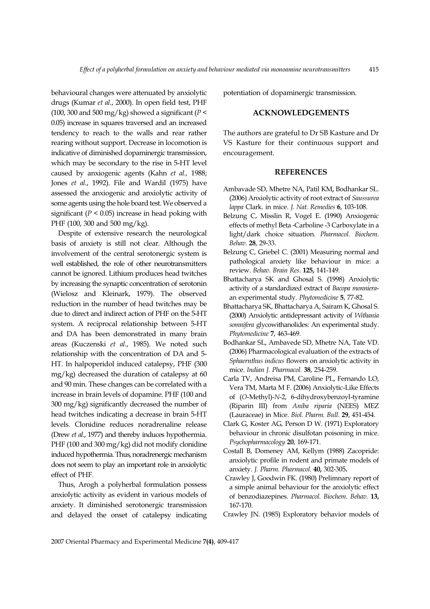behavioural changes were attenuated by anxiolytic drugs (Kumar et al., 2000). In open field test, PHF (100, 300 and 500 mg/kg) showed a significant ( $P$  < 0.05) increase in squares traversed and an increased tendency to reach to the walls and rear rather rearing without support. Decrease in locomotion is indicative of diminished dopaminergic transmission, which may be secondary to the rise in 5-HT level caused by anxiogenic agents (Kahn et al., 1988; Jones et al., 1992). File and Wardil (1975) have assessed the anxiogenic and anxiolytic activity of some agents using the hole board test. We observed a significant ( $P < 0.05$ ) increase in head poking with PHF (100, 300 and 500 mg/kg).

Despite of extensive research the neurological basis of anxiety is still not clear. Although the involvement of the central serotonergic system is well established, the role of other neurotransmitters cannot be ignored. Lithium produces head twitches by increasing the synaptic concentration of serotonin (Wielosz and Kleinark, 1979). The observed reduction in the number of head twitches may be due to direct and indirect action of PHF on the 5-HT system. A reciprocal relationship between 5-HT and DA has been demonstrated in many brain areas (Kuczenski et al., 1985). We noted such relationship with the concentration of DA and 5- HT. In halpoperidol induced catalepsy, PHF (300 mg/kg) decreased the duration of catalepsy at 60 and 90 min. These changes can be correlated with a increase in brain levels of dopamine. PHF (100 and 300 mg/kg) significantly decreased the number of head twitches indicating a decrease in brain 5-HT levels. Clonidine reduces noradrenaline release (Drew *et al.*, 1977) and thereby induces hypothermia. PHF (100 and 300 mg/kg) did not modify clonidine induced hypothermia. Thus, noradrenergic mechanism does not seem to play an important role in anxiolytic effect of PHF.

Thus, Arogh a polyherbal formulation possess anxiolytic activity as evident in various models of anxiety. It diminished serotonergic transmission and delayed the onset of catalepsy indicating potentiation of dopaminergic transmission.

# ACKNOWLEDGEMENTS

The authors are grateful to Dr SB Kasture and Dr VS Kasture for their continuous support and encouragement.

#### **REFERENCES**

- Ambavade SD, Mhetre NA, Patil KM, Bodhankar SL. (2006) Anxiolytic activity of root extract of Saussurea lappa Clark. in mice. J. Nat. Remedies 6, 103-108.
- Belzung C, Misslin R, Vogel E. (1990) Anxiogenic effects of methyl Beta -Carboline -3 Carboxylate in a light/dark choice situation. Pharmacol. Biochem. Behav. 28, 29-33.
- Belzung C, Griebel C. (2001) Measuring normal and pathological anxiety like behaviour in mice: a review. Behav. Brain Res. 125, 141-149.
- Bhattacharya SK and Ghosal S. (1998) Anxiolytic activity of a standardized extract of Bacopa monnieraan experimental study. Phytomedicine 5, 77-82.
- Bhattacharya SK, Bhattacharya A, Sairam K, Ghosal S. (2000) Anxiolytic antidepressant activity of Withania somnifera glycowithanolides: An experimental study. Phytomedicine 7, 463-469.
- Bodhankar SL, Ambavede SD, Mhetre NA, Tate VD. (2006) Pharmacological evaluation of the extracts of Sphaernthus indicus flowers on anxiolytic activity in mice. Indian J. Pharmacol. 38, 254-259.
- Carla TV, Andreisa PM, Caroline PL, Fernando LO, Vera TM, Marta M F. (2006) Anxiolytic-Like Effects of (O-Methyl)-N-2, 6-dihydroxybenzoyl-tyramine (Riparin III) from Aniba riparia (NEES) MEZ (Lauraceae) in Mice. Biol. Pharm. Bull. 29, 451-454.
- Clark G, Koster AG, Person D W. (1971) Exploratory behaviour in chronic disulfotan poisoning in mice. Psychopharmacology 20, 169-171.
- Costall B, Domeney AM, Kellym (1988) Zacopride: anxiolytic profile in rodent and primate models of anxiety. J. Pharm. Pharmacol. 40, 302-305.
- Crawley J, Goodwin FK. (1980) Prelimnary report of a simple animal behaviour for the anxiolytic effect of benzodiazepines. Pharmacol. Biochem. Behav. 13, 167-170.
- Crawley JN. (1985) Exploratory behavior models of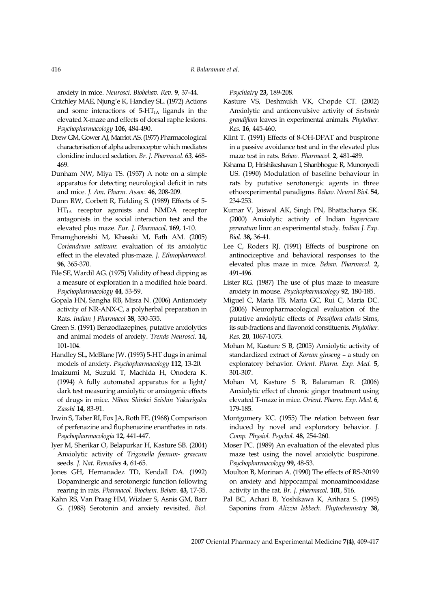anxiety in mice. Neurosci. Biobehav. Rev. 9, 37-44.

- R Bala<br>
anxiety in mice. Neurosci. Biobehav. Rev. 9, 37-44.<br>
itchley MAE, Njung'e K, Handley SL. (1972) Actions<br>
and some interactions of 5-HT<sub>1A</sub> ligands in the Critchley MAE, Njung'e K, Handley SL. (1972) Actions and some interactions of  $5-HT<sub>1A</sub>$  ligands in the elevated X-maze and effects of dorsal raphe lesions. Psychopharmacology 106, 484-490.
- Drew GM, Gower AJ, Marriot AS. (1977) Pharmacological characterisation of alpha adrenoceptor which mediates clonidine induced sedation. Br. J. Pharmacol. 63, 468- 469. R Bala<br>
anxiety in mice. *Neurosci. Biobelaw. Rev.* 9, 37-44.<br>
itchley MAE, Njung'e K, Handley SL. (1972) Actions<br>
and some interactions of 5-HT<sub>1A</sub> ligands in the<br>
elevated X-maze and effects of dorsal raphe lesions.<br> *P*
- Dunham NW, Miya TS. (1957) A note on a simple apparatus for detecting neurological deficit in rats and mice. J. Am. Pharm. Assoc. 46, 208-209.
- Dunn RW, Corbett R, Fielding S. (1989) Effects of 5-  $HT_{1A}$  receptor agonists and NMDA receptor antagonists in the social interaction test and the elevated plus maze. Eur. J. Pharmacol. 169, 1-10.
- Emamghoreishi M, Khasaki M, Fath AM. (2005) Coriandrum sativum: evaluation of its anxiolytic effect in the elevated plus-maze. J. Ethnopharmacol. 96, 365-370.
- File SE, Wardil AG. (1975) Validity of head dipping as a measure of exploration in a modified hole board. Psychopharmacology 44, 53-59.
- Gopala HN, Sangha RB, Misra N. (2006) Antianxiety activity of NR-ANX-C, a polyherbal preparation in Rats. Indian J Pharmacol 38, 330-335.
- Green S. (1991) Benzodiazepines, putative anxiolytics and animal models of anxiety. Trends Neurosci. 14, 101-104.
- Handley SL, McBlane JW. (1993) 5-HT dugs in animal models of anxiety. Psychopharmacology 112, 13-20.
- Imaizumi M, Suzuki T, Machida H, Onodera K. (1994) A fully automated apparatus for a light/ dark test measuring anxiolytic or anxiogenic effects of drugs in mice. Nihon Shinkei Seishin Yakurigaku Zasshi 14, 83-91.
- Irwin S, Taber RI, Fox JA, Roth FE. (1968) Comparison of perfenazine and fluphenazine enanthates in rats. Psychopharmacologia 12, 441-447.
- Iyer M, Sherikar O, Belapurkar H, Kasture SB. (2004) Anxiolytic activity of Trigonella foenum- graecum seeds. J. Nat. Remedies 4, 61-65.
- Jones GH, Hernanadez TD, Kendall DA. (1992) Dopaminergic and serotonergic function following rearing in rats. Pharmacol. Biochem. Behav. 43, 17-35.
- Kahn RS, Van Praag HM, Wizlaer S, Asnis GM, Barr G. (1988) Serotonin and anxiety revisited. Biol.

Psychiatry 23, 189-208.

- Kasture VS, Deshmukh VK, Chopde CT. (2002) Anxiolytic and anticonvulsive activity of Sesbania grandiflora leaves in experimental animals. Phytother. Res. 16, 445-460.
- Klint T. (1991) Effects of 8-OH-DPAT and buspirone in a passive avoidance test and in the elevated plus maze test in rats. Behav. Pharmacol. 2, 481-489.
- Kshama D, Hrishikeshavan I, Shanbhogue R, Munonyedi US. (1990) Modulation of baseline behaviour in rats by putative serotonergic agents in three ethoexperimental paradigms. Behav. Neural Biol. 54, 234-253.
- Kumar V, Jaiswal AK, Singh PN, Bhattacharya SK. (2000) Anxiolytic activity of Indian hypericum peraratum linn: an experimental study. Indian J. Exp. Biol. 38, 36-41.
- Lee C, Roders RJ. (1991) Effects of buspirone on antinociceptive and behavioral responses to the elevated plus maze in mice. Behav. Pharmacol. 2, 491-496.
- Lister RG. (1987) The use of plus maze to measure anxiety in mouse. Psychopharmacology 92, 180-185.
- Miguel C, Maria TB, Maria GC, Rui C, Maria DC. (2006) Neuropharmacological evaluation of the putative anxiolytic effects of Passiflora edulis Sims, its sub-fractions and flavonoid constituents. Phytother. Res. 20, 1067-1073.
- Mohan M, Kasture S B, (2005) Anxiolytic activity of standardized extract of Korean ginseng – a study on exploratory behavior. Orient. Pharm. Exp. Med. 5, 301-307.
- Mohan M, Kasture S B, Balaraman R. (2006) Anxiolytic effect of chronic ginger treatment using elevated T-maze in mice. Orient. Pharm. Exp. Med. 6, 179-185.
- Montgomery KC. (1955) The relation between fear induced by novel and exploratory behavior. J. Comp. Physiol. Psychol. 48, 254-260.
- Moser PC. (1989) An evaluation of the elevated plus maze test using the novel anxiolytic buspirone. Psychopharmacology 99, 48-53.
- Moulton B, Morinan A. (1990) The effects of RS-30199 on anxiety and hippocampal monoaminooxidase activity in the rat. Br. J. pharmacol. 101, 516.
- Pal BC, Achari B, Yoshikawa K, Arihara S. (1995) Saponins from Alizzia lebbeck. Phytochemistry 38,

2007 Oriental Pharmacy and Experimental Medicine 7(4), 409-417